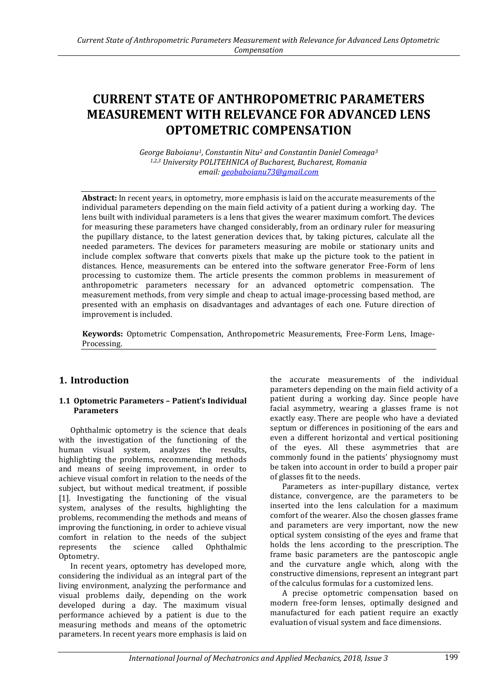# **CURRENT STATE OF ANTHROPOMETRIC PARAMETERS MEASUREMENT WITH RELEVANCE FOR ADVANCED LENS OPTOMETRIC COMPENSATION**

*George Baboianu1, Constantin Nitu<sup>2</sup> and Constantin Daniel Comeaga<sup>3</sup> 1,2,3 University POLITEHNICA of Bucharest, Bucharest, Romania email[: geobaboianu73@gmail.com](mailto:geobaboianu73@gmail.com)*

**Abstract:** In recent years, in optometry, more emphasis is laid on the accurate measurements of the individual parameters depending on the main field activity of a patient during a working day. The lens built with individual parameters is a lens that gives the wearer maximum comfort. The devices for measuring these parameters have changed considerably, from an ordinary ruler for measuring the pupillary distance, to the latest generation devices that, by taking pictures, calculate all the needed parameters. The devices for parameters measuring are mobile or stationary units and include complex software that converts pixels that make up the picture took to the patient in distances. Hence, measurements can be entered into the software generator Free-Form of lens processing to customize them. The article presents the common problems in measurement of anthropometric parameters necessary for an advanced optometric compensation. The measurement methods, from very simple and cheap to actual image-processing based method, are presented with an emphasis on disadvantages and advantages of each one. Future direction of improvement is included.

**Keywords:** Optometric Compensation, Anthropometric Measurements, Free-Form Lens, Image-Processing.

# **1. Introduction**

#### **1.1 Optometric Parameters – Patient's Individual Parameters**

Ophthalmic optometry is the science that deals with the investigation of the functioning of the human visual system, analyzes the results, highlighting the problems, recommending methods and means of seeing improvement, in order to achieve visual comfort in relation to the needs of the subject, but without medical treatment, if possible [1]. Investigating the functioning of the visual system, analyses of the results, highlighting the problems, recommending the methods and means of improving the functioning, in order to achieve visual comfort in relation to the needs of the subject represents the science called Ophthalmic Optometry.

In recent years, optometry has developed more, considering the individual as an integral part of the living environment, analyzing the performance and visual problems daily, depending on the work developed during a day. The maximum visual performance achieved by a patient is due to the measuring methods and means of the optometric parameters. In recent years more emphasis is laid on

the accurate measurements of the individual parameters depending on the main field activity of a patient during a working day. Since people have facial asymmetry, wearing a glasses frame is not exactly easy. There are people who have a deviated septum or differences in positioning of the ears and even a different horizontal and vertical positioning of the eyes. All these asymmetries that are commonly found in the patients' physiognomy must be taken into account in order to build a proper pair of glasses fit to the needs.

Parameters as inter-pupillary distance, vertex distance, convergence, are the parameters to be inserted into the lens calculation for a maximum comfort of the wearer. Also the chosen glasses frame and parameters are very important, now the new optical system consisting of the eyes and frame that holds the lens according to the prescription. The frame basic parameters are the pantoscopic angle and the curvature angle which, along with the constructive dimensions, represent an integrant part of the calculus formulas for a customized lens.

A precise optometric compensation based on modern free-form lenses, optimally designed and manufactured for each patient require an exactly evaluation of visual system and face dimensions.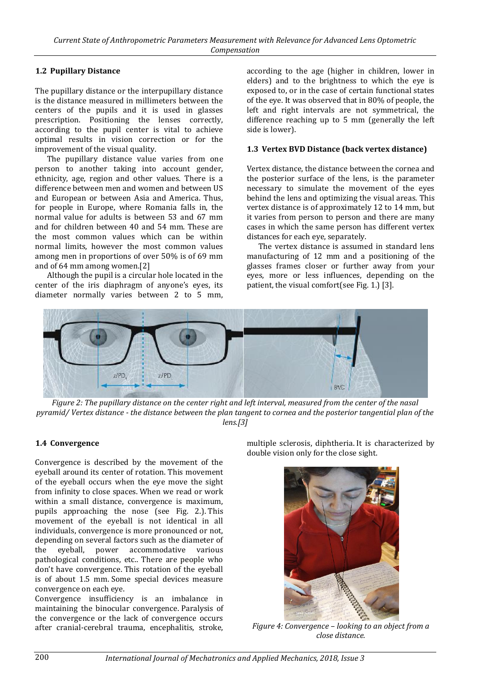### **1.2 Pupillary Distance**

The pupillary distance or the interpupillary distance is the distance measured in millimeters between the centers of the pupils and it is used in glasses prescription. Positioning the lenses correctly, according to the pupil center is vital to achieve optimal results in vision correction or for the improvement of the visual quality.

The pupillary distance value varies from one person to another taking into account gender, ethnicity, age, region and other values. There is a difference between men and women and between US and European or between Asia and America. Thus, for people in Europe, where Romania falls in, the normal value for adults is between 53 and 67 mm and for children between 40 and 54 mm. These are the most common values which can be within normal limits, however the most common values among men in proportions of over 50% is of 69 mm and of 64 mm among women.[2]

Although the pupil is a circular hole located in the center of the iris diaphragm of anyone's eyes, its diameter normally varies between 2 to 5 mm,

according to the age (higher in children, lower in elders) and to the brightness to which the eye is exposed to, or in the case of certain functional states of the eye. It was observed that in 80% of people, the left and right intervals are not symmetrical, the difference reaching up to 5 mm (generally the left side is lower).

#### **1.3 Vertex BVD Distance (back vertex distance)**

Vertex distance, the distance between the cornea and the posterior surface of the lens, is the parameter necessary to simulate the movement of the eyes behind the lens and optimizing the visual areas. This vertex distance is of approximately 12 to 14 mm, but it varies from person to person and there are many cases in which the same person has different vertex distances for each eye, separately.

The vertex distance is assumed in standard lens manufacturing of 12 mm and a positioning of the glasses frames closer or further away from your eyes, more or less influences, depending on the patient, the visual comfort(see Fig. 1.) [3].



*Figure 2: The pupillary distance on the center right and left interval, measured from the center of the nasal pyramid/ Vertex distance - the distance between the plan tangent to cornea and the posterior tangential plan of the lens.[3]*

### **1.4 Convergence**

Convergence is described by the movement of the eyeball around its center of rotation. This movement of the eyeball occurs when the eye move the sight from infinity to close spaces. When we read or work within a small distance, convergence is maximum, pupils approaching the nose (see Fig. 2.). This movement of the eyeball is not identical in all individuals, convergence is more pronounced or not, depending on several factors such as the diameter of the eyeball, power accommodative various pathological conditions, etc.. There are people who don't have convergence. This rotation of the eyeball is of about 1.5 mm. Some special devices measure convergence on each eye.

Convergence insufficiency is an imbalance in maintaining the binocular convergence. Paralysis of the convergence or the lack of convergence occurs after cranial-cerebral trauma, encephalitis, stroke,

multiple sclerosis, diphtheria. It is characterized by double vision only for the close sight.



*Figure 4: Convergence – looking to an object from a close distance.*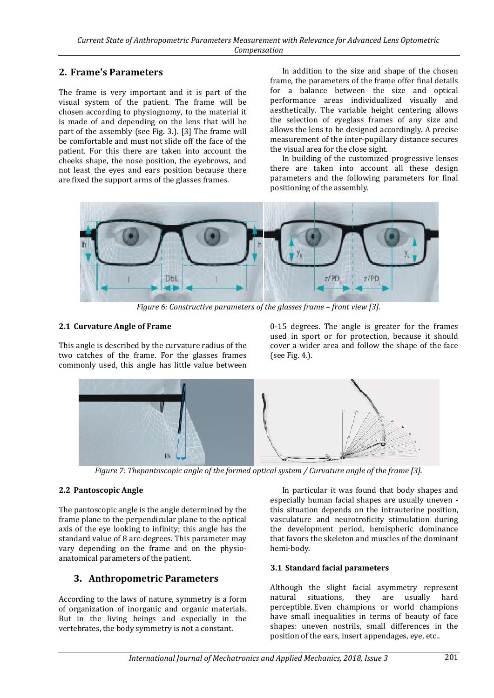# **2. Frame's Parameters**

The frame is very important and it is part of the visual system of the patient. The frame will be chosen according to physiognomy, to the material it is made of and depending on the lens that will be part of the assembly (see Fig. 3.). [3] The frame will be comfortable and must not slide off the face of the patient. For this there are taken into account the cheeks shape, the nose position, the eyebrows, and not least the eyes and ears position because there are fixed the support arms of the glasses frames.

In addition to the size and shape of the chosen frame, the parameters of the frame offer final details for a balance between the size and optical performance areas individualized visually and aesthetically. The variable height centering allows the selection of eyeglass frames of any size and allows the lens to be designed accordingly. A precise measurement of the inter-pupillary distance secures the visual area for the close sight.

In building of the customized progressive lenses there are taken into account all these design parameters and the following parameters for final positioning of the assembly.



*Figure 6: Constructive parameters of the glasses frame – front view [3].*

### **2.1 Curvature Angle of Frame**

This angle is described by the curvature radius of the two catches of the frame. For the glasses frames commonly used, this angle has little value between

0-15 degrees. The angle is greater for the frames used in sport or for protection, because it should cover a wider area and follow the shape of the face (see Fig. 4.).



*Figure 7: Thepantoscopic angle of the formed optical system / Curvature angle of the frame [3].*

#### **2.2 Pantoscopic Angle**

The pantoscopic angle is the angle determined by the frame plane to the perpendicular plane to the optical axis of the eye looking to infinity; this angle has the standard value of 8 arc-degrees. This parameter may vary depending on the frame and on the physioanatomical parameters of the patient.

# **3. Anthropometric Parameters**

According to the laws of nature, symmetry is a form of organization of inorganic and organic materials. But in the living beings and especially in the vertebrates, the body symmetry is not a constant.

In particular it was found that body shapes and especially human facial shapes are usually uneven this situation depends on the intrauterine position, vasculature and neurotroficity stimulation during the development period, hemispheric dominance that favors the skeleton and muscles of the dominant hemi-body.

#### **3.1 Standard facial parameters**

Although the slight facial asymmetry represent<br>natural situations, they are usually hard natural situations, they are usually hard perceptible. Even champions or world champions have small inequalities in terms of beauty of face shapes: uneven nostrils, small differences in the position of the ears, insert appendages, eye, etc..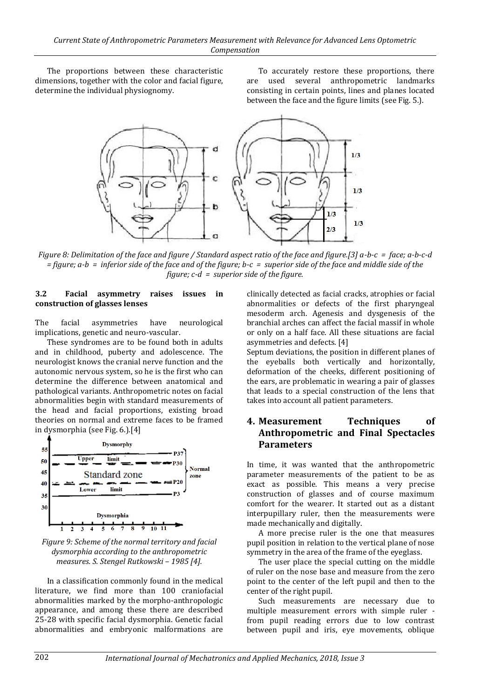The proportions between these characteristic dimensions, together with the color and facial figure, determine the individual physiognomy.

To accurately restore these proportions, there are used several anthropometric landmarks consisting in certain points, lines and planes located between the face and the figure limits (see Fig. 5.).



*Figure 8: Delimitation of the face and figure / Standard aspect ratio of the face and figure.[3] a-b-c = face; a-b-c-d = figure; a-b = inferior side of the face and of the figure; b-c = superior side of the face and middle side of the figure; c-d = superior side of the figure.*

#### **3.2 Facial asymmetry raises issues in construction of glasses lenses**

The facial asymmetries have neurological implications, genetic and neuro-vascular.

These syndromes are to be found both in adults and in childhood, puberty and adolescence. The neurologist knows the cranial nerve function and the autonomic nervous system, so he is the first who can determine the difference between anatomical and pathological variants. Anthropometric notes on facial abnormalities begin with standard measurements of the head and facial proportions, existing broad theories on normal and extreme faces to be framed in dysmorphia (see Fig. 6.).[4]



*Figure 9: Scheme of the normal territory and facial dysmorphia according to the anthropometric measures. S. Stengel Rutkowski – 1985 [4].*

In a classification commonly found in the medical literature, we find more than 100 craniofacial abnormalities marked by the morpho-anthropologic appearance, and among these there are described 25-28 with specific facial dysmorphia. Genetic facial abnormalities and embryonic malformations are clinically detected as facial cracks, atrophies or facial abnormalities or defects of the first pharyngeal mesoderm arch. Agenesis and dysgenesis of the branchial arches can affect the facial massif in whole or only on a half face. All these situations are facial asymmetries and defects. [4]

Septum deviations, the position in different planes of the eyeballs both vertically and horizontally, deformation of the cheeks, different positioning of the ears, are problematic in wearing a pair of glasses that leads to a special construction of the lens that takes into account all patient parameters.

### **4. Measurement Techniques of Anthropometric and Final Spectacles Parameters**

In time, it was wanted that the anthropometric parameter measurements of the patient to be as exact as possible. This means a very precise construction of glasses and of course maximum comfort for the wearer. It started out as a distant interpupillary ruler, then the measurements were made mechanically and digitally.

A more precise ruler is the one that measures pupil position in relation to the vertical plane of nose symmetry in the area of the frame of the eyeglass.

The user place the special cutting on the middle of ruler on the nose base and measure from the zero point to the center of the left pupil and then to the center of the right pupil.

Such measurements are necessary due to multiple measurement errors with simple ruler from pupil reading errors due to low contrast between pupil and iris, eye movements, oblique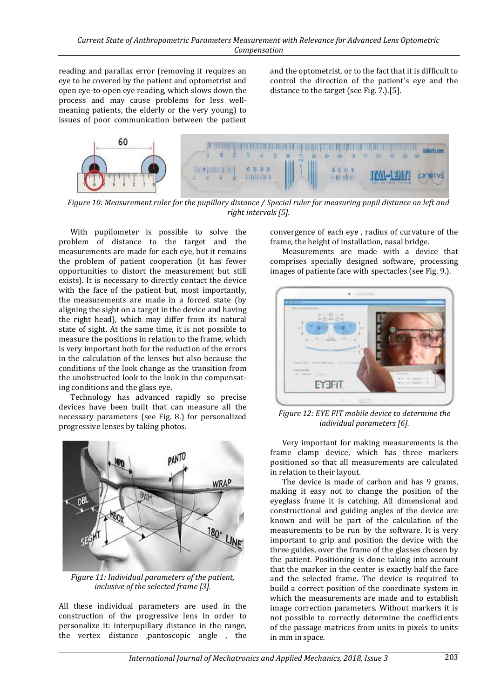reading and parallax error (removing it requires an eye to be covered by the patient and optometrist and open eye-to-open eye reading, which slows down the process and may cause problems for less wellmeaning patients, the elderly or the very young) to issues of poor communication between the patient and the optometrist, or to the fact that it is difficult to control the direction of the patient's eye and the distance to the target (see Fig. 7.).[5].



*Figure 10: Measurement ruler for the pupillary distance / Special ruler for measuring pupil distance on left and right intervals [5].*

With pupilometer is possible to solve the problem of distance to the target and the measurements are made for each eye, but it remains the problem of patient cooperation (it has fewer opportunities to distort the measurement but still exists). It is necessary to directly contact the device with the face of the patient but, most importantly, the measurements are made in a forced state (by aligning the sight on a target in the device and having the right head), which may differ from its natural state of sight. At the same time, it is not possible to measure the positions in relation to the frame, which is very important both for the reduction of the errors in the calculation of the lenses but also because the conditions of the look change as the transition from the unobstructed look to the look in the compensating conditions and the glass eye.

Technology has advanced rapidly so precise devices have been built that can measure all the necessary parameters (see Fig. 8.) for personalized progressive lenses by taking photos.



*Figure 11: Individual parameters of the patient, inclusive of the selected frame [3].*

All these individual parameters are used in the construction of the progressive lens in order to personalize it: interpupillary distance in the range, the vertex distance ,pantoscopic angle , the

convergence of each eye , radius of curvature of the frame, the height of installation, nasal bridge.

Measurements are made with a device that comprises specially designed software, processing images of patiente face with spectacles (see Fig. 9.).



*Figure 12: EYE FIT mobile device to determine the individual parameters [6].*

Very important for making measurements is the frame clamp device, which has three markers positioned so that all measurements are calculated in relation to their layout.

The device is made of carbon and has 9 grams, making it easy not to change the position of the eyeglass frame it is catching. All dimensional and constructional and guiding angles of the device are known and will be part of the calculation of the measurements to be run by the software. It is very important to grip and position the device with the three guides, over the frame of the glasses chosen by the patient. Positioning is done taking into account that the marker in the center is exactly half the face and the selected frame. The device is required to build a correct position of the coordinate system in which the measurements are made and to establish image correction parameters. Without markers it is not possible to correctly determine the coefficients of the passage matrices from units in pixels to units in mm in space.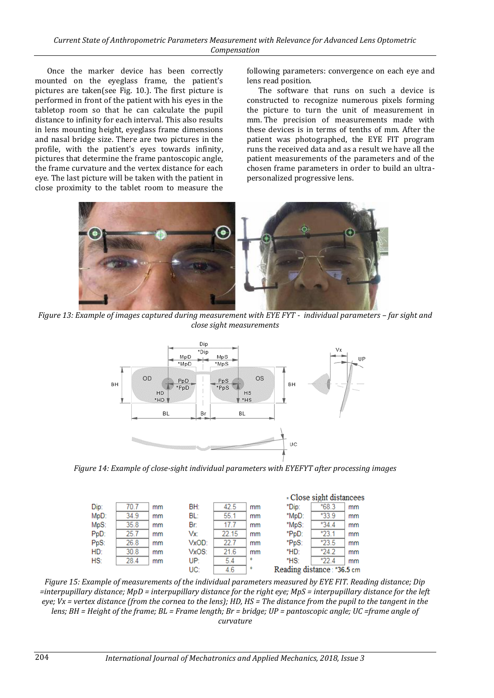Once the marker device has been correctly mounted on the eyeglass frame, the patient's pictures are taken(see Fig. 10.). The first picture is performed in front of the patient with his eyes in the tabletop room so that he can calculate the pupil distance to infinity for each interval. This also results in lens mounting height, eyeglass frame dimensions and nasal bridge size. There are two pictures in the profile, with the patient's eyes towards infinity, pictures that determine the frame pantoscopic angle, the frame curvature and the vertex distance for each eye. The last picture will be taken with the patient in close proximity to the tablet room to measure the following parameters: convergence on each eye and lens read position.

The software that runs on such a device is constructed to recognize numerous pixels forming the picture to turn the unit of measurement in mm. The precision of measurements made with these devices is in terms of tenths of mm. After the patient was photographed, the EYE FIT program runs the received data and as a result we have all the patient measurements of the parameters and of the chosen frame parameters in order to build an ultrapersonalized progressive lens.



*Figure 13: Example of images captured during measurement with EYE FYT - individual parameters – far sight and close sight measurements*



*Figure 14: Example of close-sight individual parameters with EYEFYT after processing images*



*Figure 15: Example of measurements of the individual parameters measured by EYE FIT. Reading distance; Dip =interpupillary distance; MpD = interpupillary distance for the right eye; MpS = interpupillary distance for the left eye; Vx = vertex distance (from the cornea to the lens); HD, HS = The distance from the pupil to the tangent in the lens; BH = Height of the frame; BL = Frame length; Br = bridge; UP = pantoscopic angle; UC =frame angle of curvature*